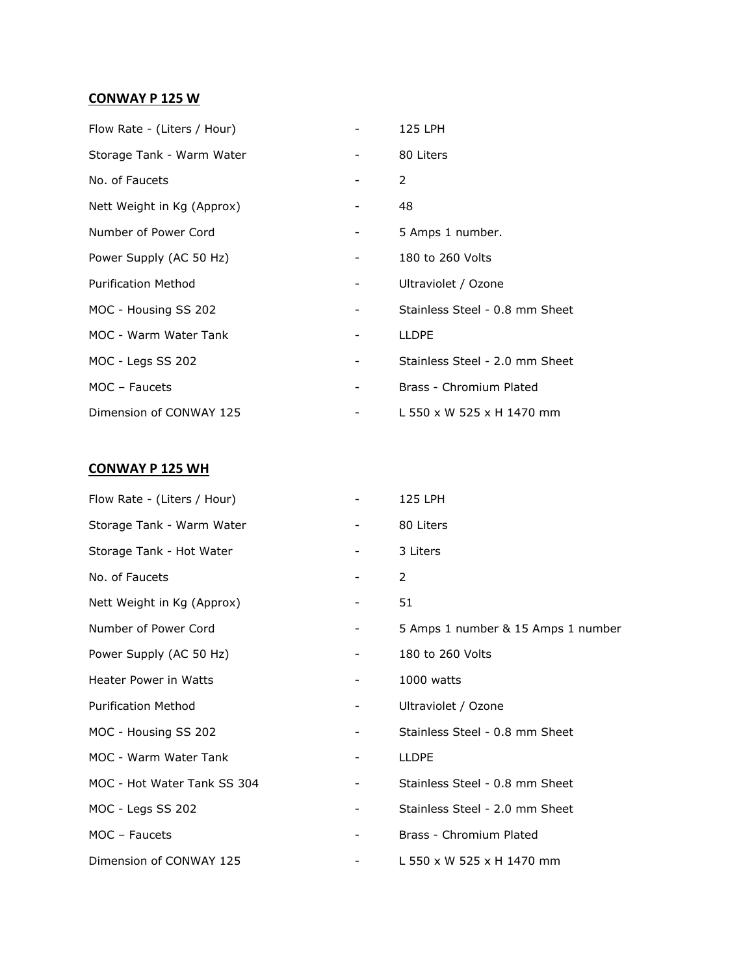## **CONWAY P 125 W**

| Flow Rate - (Liters / Hour) |   | 125 LPH                        |
|-----------------------------|---|--------------------------------|
| Storage Tank - Warm Water   |   | 80 Liters                      |
| No. of Faucets              |   | $\mathcal{P}$                  |
| Nett Weight in Kg (Approx)  |   | 48                             |
| Number of Power Cord        | - | 5 Amps 1 number.               |
| Power Supply (AC 50 Hz)     |   | 180 to 260 Volts               |
| <b>Purification Method</b>  | - | Ultraviolet / Ozone            |
| MOC - Housing SS 202        |   | Stainless Steel - 0.8 mm Sheet |
| MOC - Warm Water Tank       |   | <b>LLDPE</b>                   |
| MOC - Legs SS 202           |   | Stainless Steel - 2.0 mm Sheet |
| MOC - Faucets               |   | Brass - Chromium Plated        |
| Dimension of CONWAY 125     |   | L 550 x W 525 x H 1470 mm      |

## **CONWAY P 125 WH**

| Flow Rate - (Liters / Hour)  |   | 125 LPH                            |
|------------------------------|---|------------------------------------|
| Storage Tank - Warm Water    |   | 80 Liters                          |
| Storage Tank - Hot Water     |   | 3 Liters                           |
| No. of Faucets               |   | 2                                  |
| Nett Weight in Kg (Approx)   |   | 51                                 |
| Number of Power Cord         | - | 5 Amps 1 number & 15 Amps 1 number |
| Power Supply (AC 50 Hz)      |   | 180 to 260 Volts                   |
| <b>Heater Power in Watts</b> |   | 1000 watts                         |
| <b>Purification Method</b>   | - | Ultraviolet / Ozone                |
| MOC - Housing SS 202         |   | Stainless Steel - 0.8 mm Sheet     |
| MOC - Warm Water Tank        |   | <b>LLDPE</b>                       |
| MOC - Hot Water Tank SS 304  |   | Stainless Steel - 0.8 mm Sheet     |
| MOC - Legs SS 202            |   | Stainless Steel - 2.0 mm Sheet     |
| $MOC - Faucets$              |   | Brass - Chromium Plated            |
| Dimension of CONWAY 125      |   | L 550 x W 525 x H 1470 mm          |